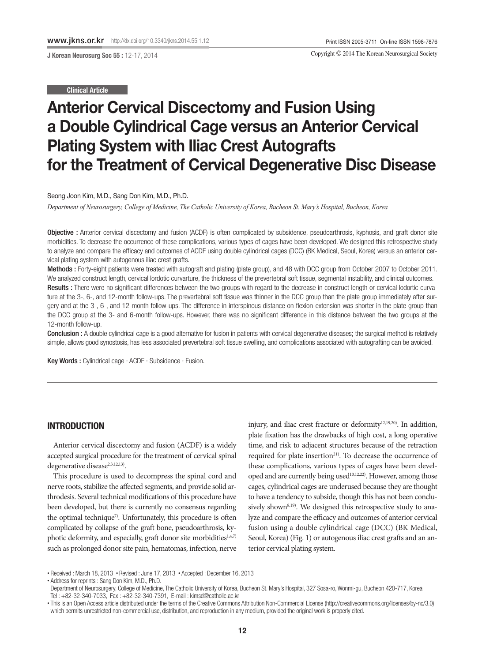Copyright © 2014 The Korean Neurosurgical Society

#### Clinical Article

# Anterior Cervical Discectomy and Fusion Using a Double Cylindrical Cage versus an Anterior Cervical Plating System with Iliac Crest Autografts for the Treatment of Cervical Degenerative Disc Disease

Seong Joon Kim, M.D., Sang Don Kim, M.D., Ph.D.

*Department of Neurosurgery, College of Medicine, The Catholic University of Korea, Bucheon St. Mary's Hospital, Bucheon, Korea*

Objective : Anterior cervical discectomy and fusion (ACDF) is often complicated by subsidence, pseudoarthrosis, kyphosis, and graft donor site morbidities. To decrease the occurrence of these complications, various types of cages have been developed. We designed this retrospective study to analyze and compare the efficacy and outcomes of ACDF using double cylindrical cages (DCC) (BK Medical, Seoul, Korea) versus an anterior cervical plating system with autogenous iliac crest grafts.

Methods : Forty-eight patients were treated with autograft and plating (plate group), and 48 with DCC group from October 2007 to October 2011. We analyzed construct length, cervical lordotic curvarture, the thickness of the prevertebral soft tissue, segmental instability, and clinical outcomes. Results : There were no significant differences between the two groups with regard to the decrease in construct length or cervical lodortic curvature at the 3-, 6-, and 12-month follow-ups. The prevertebral soft tissue was thinner in the DCC group than the plate group immediately after surgery and at the 3-, 6-, and 12-month follow-ups. The difference in interspinous distance on flexion-extension was shorter in the plate group than the DCC group at the 3- and 6-month follow-ups. However, there was no significant difference in this distance between the two groups at the 12-month follow-up.

Conclusion : A double cylindrical cage is a good alternative for fusion in patients with cervical degenerative diseases; the surgical method is relatively simple, allows good synostosis, has less associated prevertebral soft tissue swelling, and complications associated with autografting can be avoided.

Key Words : Cylindrical cage · ACDF · Subsidence · Fusion.

# INTRODUCTION

Anterior cervical discectomy and fusion (ACDF) is a widely accepted surgical procedure for the treatment of cervical spinal degenerative disease<sup>2,3,12,13</sup>).

This procedure is used to decompress the spinal cord and nerve roots, stabilize the affected segments, and provide solid arthrodesis. Several technical modifications of this procedure have been developed, but there is currently no consensus regarding the optimal technique<sup>7)</sup>. Unfortunately, this procedure is often complicated by collapse of the graft bone, pseudoarthrosis, kyphotic deformity, and especially, graft donor site morbidities $1,4,7$ such as prolonged donor site pain, hematomas, infection, nerve

injury, and iliac crest fracture or deformity<sup>12,19,20)</sup>. In addition, plate fixation has the drawbacks of high cost, a long operative time, and risk to adjacent structures because of the retraction required for plate insertion<sup>21)</sup>. To decrease the occurrence of these complications, various types of cages have been developed and are currently being used<sup>10,12,22)</sup>. However, among those cages, cylindrical cages are underused because they are thought to have a tendency to subside, though this has not been conclusively shown $8,19)$ . We designed this retrospective study to analyze and compare the efficacy and outcomes of anterior cervical fusion using a double cylindrical cage (DCC) (BK Medical, Seoul, Korea) (Fig. 1) or autogenous iliac crest grafts and an anterior cervical plating system.

<sup>•</sup> Received : March 18, 2013 • Revised : June 17, 2013 • Accepted : December 16, 2013

<sup>•</sup> Address for reprints : Sang Don Kim, M.D., Ph.D.

Department of Neurosurgery, College of Medicine, The Catholic University of Korea, Bucheon St. Mary's Hospital, 327 Sosa-ro, Wonmi-gu, Bucheon 420-717, Korea Tel : +82-32-340-7033, Fax : +82-32-340-7391, E-mail : kimsd@catholic.ac.kr

<sup>•</sup> This is an Open Access article distributed under the terms of the Creative Commons Attribution Non-Commercial License (http://creativecommons.org/licenses/by-nc/3.0) which permits unrestricted non-commercial use, distribution, and reproduction in any medium, provided the original work is properly cited.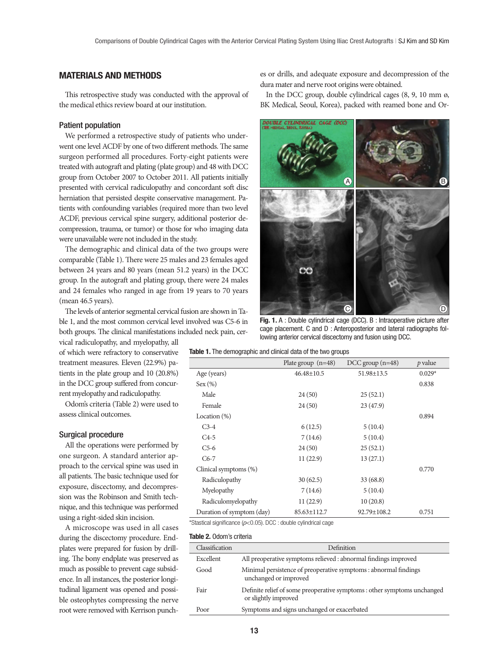# MATERIALS AND METHODS

This retrospective study was conducted with the approval of the medical ethics review board at our institution.

### Patient population

We performed a retrospective study of patients who underwent one level ACDF by one of two different methods. The same surgeon performed all procedures. Forty-eight patients were treated with autograft and plating (plate group) and 48 with DCC group from October 2007 to October 2011. All patients initially presented with cervical radiculopathy and concordant soft disc herniation that persisted despite conservative management. Patients with confounding variables (required more than two level ACDF, previous cervical spine surgery, additional posterior decompression, trauma, or tumor) or those for who imaging data were unavailable were not included in the study.

The demographic and clinical data of the two groups were comparable (Table 1). There were 25 males and 23 females aged between 24 years and 80 years (mean 51.2 years) in the DCC group. In the autograft and plating group, there were 24 males and 24 females who ranged in age from 19 years to 70 years (mean 46.5 years).

The levels of anterior segmental cervical fusion are shown in Table 1, and the most common cervical level involved was C5-6 in both groups. The clinical manifestations included neck pain, cer-

vical radiculopathy, and myelopathy, all of which were refractory to conservative treatment measures. Eleven (22.9%) patients in the plate group and 10 (20.8%) in the DCC group suffered from concurrent myelopathy and radiculopathy.

Odom's criteria (Table 2) were used to assess clinical outcomes.

## Surgical procedure

All the operations were performed by one surgeon. A standard anterior approach to the cervical spine was used in all patients. The basic technique used for exposure, discectomy, and decompression was the Robinson and Smith technique, and this technique was performed using a right-sided skin incision.

A microscope was used in all cases during the discectomy procedure. Endplates were prepared for fusion by drilling. The bony endplate was preserved as much as possible to prevent cage subsidence. In all instances, the posterior longitudinal ligament was opened and possible osteophytes compressing the nerve root were removed with Kerrison punches or drills, and adequate exposure and decompression of the dura mater and nerve root origins were obtained.

In the DCC group, double cylindrical cages (8, 9, 10 mm ø, BK Medical, Seoul, Korea), packed with reamed bone and Or-



Fig. 1. A : Double cylindrical cage (DCC). B : Intraoperative picture after cage placement. C and D : Anteroposterior and lateral radiographs following anterior cervical discectomy and fusion using DCC.

|  |  | Table 1. The demographic and clinical data of the two groups |  |  |  |  |  |  |  |  |
|--|--|--------------------------------------------------------------|--|--|--|--|--|--|--|--|
|--|--|--------------------------------------------------------------|--|--|--|--|--|--|--|--|

|                           | Plate group $(n=48)$ | $DCC$ group $(n=48)$ | $p$ value |
|---------------------------|----------------------|----------------------|-----------|
| Age (years)               | $46.48 \pm 10.5$     | 51.98±13.5           | $0.029*$  |
| Sex (%)                   |                      |                      | 0.838     |
| Male                      | 24(50)               | 25(52.1)             |           |
| Female                    | 24(50)               | 23(47.9)             |           |
| Location $(\%)$           |                      |                      | 0.894     |
| $C3-4$                    | 6(12.5)              | 5(10.4)              |           |
| $CA-5$                    | 7(14.6)              | 5(10.4)              |           |
| $C5-6$                    | 24(50)               | 25(52.1)             |           |
| $C6-7$                    | 11(22.9)             | 13(27.1)             |           |
| Clinical symptoms (%)     |                      |                      | 0.770     |
| Radiculopathy             | 30(62.5)             | 33 (68.8)            |           |
| Myelopathy                | 7(14.6)              | 5(10.4)              |           |
| Radiculomyelopathy        | 11(22.9)             | 10(20.8)             |           |
| Duration of symptom (day) | $85.63 \pm 112.7$    | 92.79±108.2          | 0.751     |

\*Stastical significance (*p*<0.05). DCC : double cylindrical cage

#### Table 2. Odom's criteria

| Classification | Definition                                                                                       |
|----------------|--------------------------------------------------------------------------------------------------|
| Excellent      | All preoperative symptoms relieved : abnormal findings improved                                  |
| Good           | Minimal persistence of preoperative symptoms : abnormal findings<br>unchanged or improved        |
| Fair           | Definite relief of some preoperative symptoms : other symptoms unchanged<br>or slightly improved |
| Poor           | Symptoms and signs unchanged or exacerbated                                                      |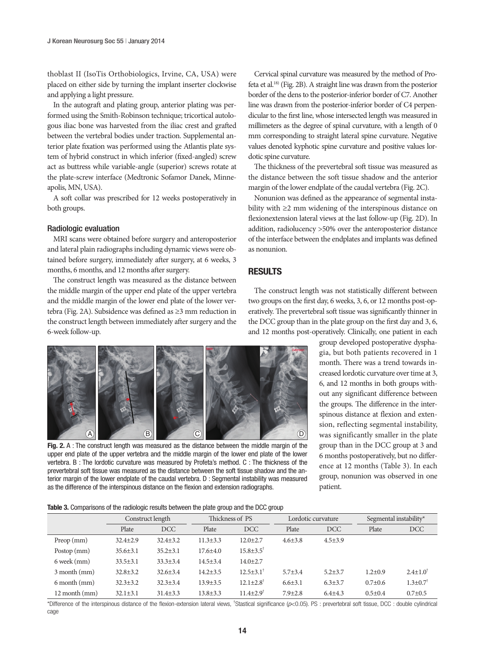thoblast II (IsoTis Orthobiologics, Irvine, CA, USA) were placed on either side by turning the implant inserter clockwise and applying a light pressure.

In the autograft and plating group, anterior plating was performed using the Smith-Robinson technique; tricortical autologous iliac bone was harvested from the iliac crest and grafted between the vertebral bodies under traction. Supplemental anterior plate fixation was performed using the Atlantis plate system of hybrid construct in which inferior (fixed-angled) screw act as buttress while variable-angle (superior) screws rotate at the plate-screw interface (Medtronic Sofamor Danek, Minneapolis, MN, USA).

A soft collar was prescribed for 12 weeks postoperatively in both groups.

### Radiologic evaluation

MRI scans were obtained before surgery and anteroposterior and lateral plain radiographs including dynamic views were obtained before surgery, immediately after surgery, at 6 weeks, 3 months, 6 months, and 12 months after surgery.

The construct length was measured as the distance between the middle margin of the upper end plate of the upper vertebra and the middle margin of the lower end plate of the lower vertebra (Fig. 2A). Subsidence was defined as ≥3 mm reduction in the construct length between immediately after surgery and the 6-week follow-up.

Cervical spinal curvature was measured by the method of Profeta et al.18) (Fig. 2B). A straight line was drawn from the posterior border of the dens to the posterior-inferior border of C7. Another line was drawn from the posterior-inferior border of C4 perpendicular to the first line, whose intersected length was measured in millimeters as the degree of spinal curvature, with a length of 0 mm corresponding to straight lateral spine curvature. Negative values denoted kyphotic spine curvature and positive values lordotic spine curvature.

The thickness of the prevertebral soft tissue was measured as the distance between the soft tissue shadow and the anterior margin of the lower endplate of the caudal vertebra (Fig. 2C).

Nonunion was defined as the appearance of segmental instability with ≥2 mm widening of the interspinous distance on flexionextension lateral views at the last follow-up (Fig. 2D). In addition, radiolucency >50% over the anteroposterior distance of the interface between the endplates and implants was defined as nonunion.

## RESULTS

The construct length was not statistically different between two groups on the first day, 6 weeks, 3, 6, or 12 months post-operatively. The prevertebral soft tissue was significantly thinner in the DCC group than in the plate group on the first day and 3, 6, and 12 months post-operatively. Clinically, one patient in each



Fig. 2. A : The construct length was measured as the distance between the middle margin of the upper end plate of the upper vertebra and the middle margin of the lower end plate of the lower vertebra. B : The lordotic curvature was measured by Profeta's method. C : The thickness of the prevertebral soft tissue was measured as the distance between the soft tissue shadow and the anterior margin of the lower endplate of the caudal vertebra. D : Segmental instability was measured as the difference of the interspinous distance on the flexion and extension radiographs.

group developed postoperative dysphagia, but both patients recovered in 1 month. There was a trend towards increased lordotic curvature over time at 3, 6, and 12 months in both groups without any significant difference between the groups. The difference in the interspinous distance at flexion and extension, reflecting segmental instability, was significantly smaller in the plate group than in the DCC group at 3 and 6 months postoperatively, but no difference at 12 months (Table 3). In each group, nonunion was observed in one patient.

Table 3. Comparisons of the radiologic results between the plate group and the DCC group

|                |                | Construct length |                | Thickness of PS             |               | Lordotic curvature | Segmental instability* |                            |
|----------------|----------------|------------------|----------------|-----------------------------|---------------|--------------------|------------------------|----------------------------|
|                | Plate          | <b>DCC</b>       | Plate          | DCC                         | Plate         | <b>DCC</b>         | Plate                  | <b>DCC</b>                 |
| Preop(mm)      | $32.4 + 2.9$   | $32.4 \pm 3.2$   | $11.3 + 3.3$   | $12.0 + 2.7$                | $4.6 \pm 3.8$ | $4.5 + 3.9$        |                        |                            |
| Postop (mm)    | $35.6 \pm 3.1$ | $35.2 \pm 3.1$   | $17.6{\pm}4.0$ | $15.8 \pm 3.5$ <sup>†</sup> |               |                    |                        |                            |
| 6 week (mm)    | $33.5 \pm 3.1$ | $33.3 \pm 3.4$   | $14.5 \pm 3.4$ | $14.0 \pm 2.7$              |               |                    |                        |                            |
| $3$ month (mm) | $32.8 \pm 3.2$ | $32.6 \pm 3.4$   | $14.2 \pm 3.5$ | $12.5 \pm 3.1^{\dagger}$    | $5.7 + 3.4$   | $5.2 + 3.7$        | $1.2 + 0.9$            | $2.4 \pm 1.0^{\dagger}$    |
| 6 month (mm)   | $32.3 \pm 3.2$ | $32.3 \pm 3.4$   | $13.9 \pm 3.5$ | $12.1 \pm 2.8$ <sup>†</sup> | $6.6{\pm}3.1$ | $6.3 \pm 3.7$      | $0.7 \pm 0.6$          | $1.3 \pm 0.7$ <sup>†</sup> |
| 12 month (mm)  | $32.1 \pm 3.1$ | $31.4 \pm 3.3$   | $13.8 \pm 3.3$ | $11.4 \pm 2.9$ <sup>†</sup> | $7.9 \pm 2.8$ | $6.4{\pm}4.3$      | $0.5 \pm 0.4$          | $0.7 + 0.5$                |

\*Difference of the interspinous distance of the flexion-extension lateral views, † Stastical significance (*p*<0.05). PS : prevertebral soft tissue, DCC : double cylindrical cage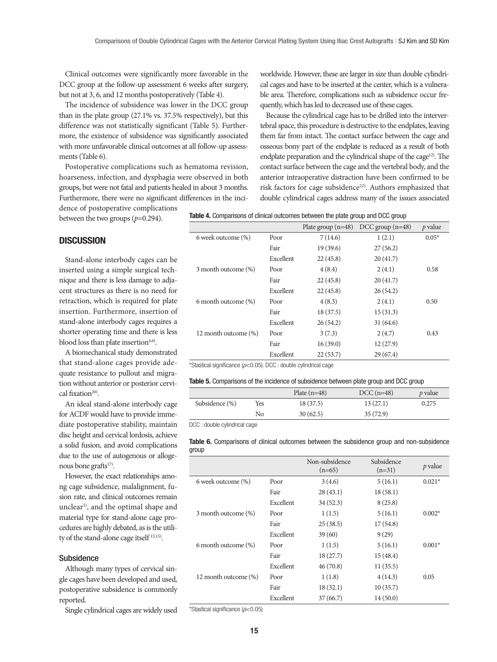Clinical outcomes were significantly more favorable in the DCC group at the follow-up assessment 6 weeks after surgery, but not at 3, 6, and 12 months postoperatively (Table 4).

The incidence of subsidence was lower in the DCC group than in the plate group (27.1% vs. 37.5% respectively), but this difference was not statistically significant (Table 5). Furthermore, the existence of subsidence was significantly associated with more unfavorable clinical outcomes at all follow-up assessments (Table 6).

Postoperative complications such as hematoma revision, hoarseness, infection, and dysphagia were observed in both groups, but were not fatal and patients healed in about 3 months. Furthermore, there were no significant differences in the inciworldwide. However, these are larger in size than double cylindrical cages and have to be inserted at the center, which is a vulnerable area. Therefore, complications such as subsidence occur frequently, which has led to decreased use of these cages.

Because the cylindrical cage has to be drilled into the intervertebral space, this procedure is destructive to the endplates, leaving them far from intact. The contact surface between the cage and osseous bony part of the endplate is reduced as a result of both endplate preparation and the cylindrical shape of the cage<sup>12)</sup>. The contact surface between the cage and the vertebral body, and the anterior intraoperative distraction have been confirmed to be risk factors for cage subsidence<sup>22)</sup>. Authors emphasized that double cylindrical cages address many of the issues associated

dence of postoperative complications between the two groups (*p*=0.294).

|  | <b>Table 4.</b> Comparisons of clinical outcomes between the plate group and DCC group |  |
|--|----------------------------------------------------------------------------------------|--|
|--|----------------------------------------------------------------------------------------|--|

# **DISCUSSION**

Stand-alone interbody cages can be inserted using a simple surgical technique and there is less damage to adjacent structures as there is no need for retraction, which is required for plate insertion. Furthermore, insertion of stand-alone interbody cages requires a shorter operating time and there is less blood loss than plate insertion<sup>4,6)</sup>.

A biomechanical study demonstrated that stand-alone cages provide adequate resistance to pullout and migration without anterior or posterior cervical fixation<sup>20)</sup>.

An ideal stand-alone interbody cage for ACDF would have to provide immediate postoperative stability, maintain disc height and cervical lordosis, achieve a solid fusion, and avoid complications due to the use of autogenous or allogenous bone grafts<sup>17)</sup>.

However, the exact relationships among cage subsidence, malalignment, fusion rate, and clinical outcomes remain unclear<sup>5)</sup>, and the optimal shape and material type for stand-alone cage procedures are highly debated, as is the utility of the stand-alone cage itself 13,15).

### Subsidence

Although many types of cervical single cages have been developed and used, postoperative subsidence is commonly reported.

Single cylindrical cages are widely used

Plate group (n=48) DCC group (n=48) *p* value 6 week outcome (%) Poor 7 (14.6) 1 (2.1) 0.05\* Fair 19 (39.6) 27 (56.2) Excellent 22 (45.8) 20 (41.7) 3 month outcome (%) Poor 4 (8.4) 2 (4.1) 0.58 Fair 22 (45.8) 20 (41.7) Excellent 22 (45.8) 26 (54.2) 6 month outcome (%) Poor 4 (8.3) 2 (4.1) 0.50 Fair 18 (37.5) 15 (31.3) Excellent 26 (54.2) 31 (64.6) 12 month outcome (%) Poor 3 (7.3) 2 (4.7) 0.43 Fair 16 (39.0) 12 (27.9) Excellent 22 (53.7) 29 (67.4)

\*Stastical significance (*p*<0.05). DCC : double cylindrical cage

| <b>Table 5.</b> Comparisons of the incidence of subsidence between plate group and DCC group |
|----------------------------------------------------------------------------------------------|
|----------------------------------------------------------------------------------------------|

|                |     | Plate $(n=48)$ | $DCC(n=48)$ | <i>p</i> value |
|----------------|-----|----------------|-------------|----------------|
| Subsidence (%) | Yes | 18 (37.5)      | 13(27.1)    | 0.275          |
|                | No  | 30(62.5)       | 35(72.9)    |                |

DCC : double cylindrical cage

|       | <b>Table 6.</b> Comparisons of clinical outcomes between the subsidence group and non-subsidence |  |  |  |  |  |
|-------|--------------------------------------------------------------------------------------------------|--|--|--|--|--|
| group |                                                                                                  |  |  |  |  |  |

|                      |           | Non-subsidence<br>$(n=65)$ | Subsidence<br>$(n=31)$ | p value  |
|----------------------|-----------|----------------------------|------------------------|----------|
| 6 week outcome (%)   | Poor      | 3(4.6)                     | 5(16.1)                | $0.021*$ |
|                      | Fair      | 28(43.1)                   | 18(58.1)               |          |
|                      | Excellent | 34(52.3)                   | 8(25.8)                |          |
| 3 month outcome (%)  | Poor      | 1(1.5)                     | 5(16.1)                | $0.002*$ |
|                      | Fair      | 25(38.5)                   | 17(54.8)               |          |
|                      | Excellent | 39(60)                     | 9(29)                  |          |
| 6 month outcome (%)  | Poor      | 1(1.5)                     | 5(16.1)                | $0.001*$ |
|                      | Fair      | 18 (27.7)                  | 15(48.4)               |          |
|                      | Excellent | 46(70.8)                   | 11(35.5)               |          |
| 12 month outcome (%) | Poor      | 1(1.8)                     | 4(14.3)                | 0.05     |
|                      | Fair      | 18(32.1)                   | 10(35.7)               |          |
|                      | Excellent | 37(66.7)                   | 14(50.0)               |          |

\*Stastical significance (*p*<0.05)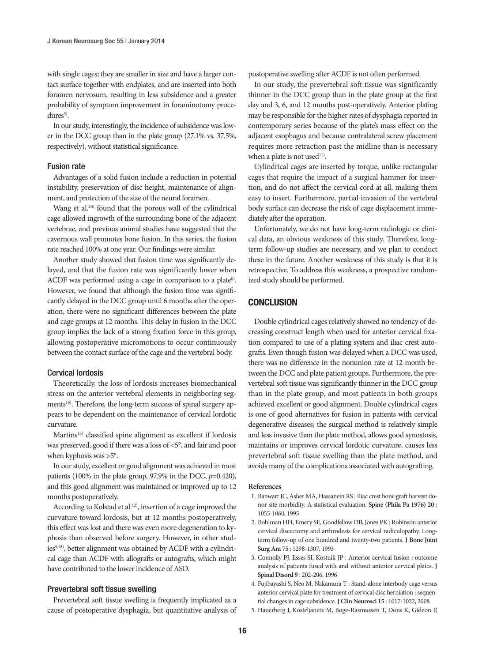with single cages; they are smaller in size and have a larger contact surface together with endplates, and are inserted into both foramen nervosum, resulting in less subsidence and a greater probability of symptom improvement in foraminotomy proce $dures<sup>5</sup>$ .

In our study, interestingly, the incidence of subsidence was lower in the DCC group than in the plate group (27.1% vs. 37.5%, respectively), without statistical significance.

# Fusion rate

Advantages of a solid fusion include a reduction in potential instability, preservation of disc height, maintenance of alignment, and protection of the size of the neural foramen.

Wang et al.<sup>20)</sup> found that the porous wall of the cylindrical cage allowed ingrowth of the surrounding bone of the adjacent vertebrae, and previous animal studies have suggested that the cavernous wall promotes bone fusion. In this series, the fusion rate reached 100% at one year. Our findings were similar.

Another study showed that fusion time was significantly delayed, and that the fusion rate was significantly lower when ACDF was performed using a cage in comparison to a plate<sup>6)</sup>. However, we found that although the fusion time was significantly delayed in the DCC group until 6 months after the operation, there were no significant differences between the plate and cage groups at 12 months. This delay in fusion in the DCC group implies the lack of a strong fixation force in this group, allowing postoperative micromotions to occur continuously between the contact surface of the cage and the vertebral body.

#### Cervical lordosis

Theoretically, the loss of lordosis increases biomechanical stress on the anterior vertebral elements in neighboring segments<sup>16)</sup>. Therefore, the long-term success of spinal surgery appears to be dependent on the maintenance of cervical lordotic curvature.

Martins<sup>14)</sup> classified spine alignment as excellent if lordosis was preserved, good if there was a loss of <5°, and fair and poor when kyphosis was >5°.

In our study, excellent or good alignment was achieved in most patients (100% in the plate group, 97.9% in the DCC, *p*=0.420), and this good alignment was maintained or improved up to 12 months postoperatively.

According to Kolstad et al.<sup>12)</sup>, insertion of a cage improved the curvature toward lordosis, but at 12 months postoperatively, this effect was lost and there was even more degeneration to kyphosis than observed before surgery. However, in other studies<sup>9,18)</sup>, better alignment was obtained by ACDF with a cylindrical cage than ACDF with allografts or autografts, which might have contributed to the lower incidence of ASD.

## Prevertebral soft tissue swelling

Prevertebral soft tissue swelling is frequently implicated as a cause of postoperative dysphagia, but quantitative analysis of postoperative swelling after ACDF is not often performed.

In our study, the prevertebral soft tissue was significantly thinner in the DCC group than in the plate group at the first day and 3, 6, and 12 months post-operatively. Anterior plating may be responsible for the higher rates of dysphagia reported in contemporary series because of the plate's mass effect on the adjacent esophagus and because contralateral screw placement requires more retraction past the midline than is necessary when a plate is not used<sup>11)</sup>.

Cylindrical cages are inserted by torque, unlike rectangular cages that require the impact of a surgical hammer for insertion, and do not affect the cervical cord at all, making them easy to insert. Furthermore, partial invasion of the vertebral body surface can decrease the risk of cage displacement immediately after the operation.

Unfortunately, we do not have long-term radiologic or clinical data, an obvious weakness of this study. Therefore, longterm follow-up studies are necessary, and we plan to conduct these in the future. Another weakness of this study is that it is retrospective. To address this weakness, a prospective randomized study should be performed.

## **CONCLUSION**

Double cylindrical cages relatively showed no tendency of decreasing construct length when used for anterior cervical fixation compared to use of a plating system and iliac crest autografts. Even though fusion was delayed when a DCC was used, there was no difference in the nonunion rate at 12 month between the DCC and plate patient groups. Furthermore, the prevertebral soft tissue was significantly thinner in the DCC group than in the plate group, and most patients in both groups achieved excellent or good alignment. Double cylindrical cages is one of good alternatives for fusion in patients with cervical degenerative diseases; the surgical method is relatively simple and less invasive than the plate method, allows good synostosis, maintains or improves cervical lordotic curvature, causes less prevertebral soft tissue swelling than the plate method, and avoids many of the complications associated with autografting.

#### **References**

- 1. Banwart JC, Asher MA, Hassanein RS : Iliac crest bone graft harvest donor site morbidity. A statistical evaluation. **Spine (Phila Pa 1976) 20** : 1055-1060, 1995
- 2. Bohlman HH, Emery SE, Goodfellow DB, Jones PK : Robinson anterior cervical discectomy and arthrodesis for cervical radiculopathy. Longterm follow-up of one hundred and twenty-two patients. **J Bone Joint Surg Am 75** : 1298-1307, 1993
- 3. Connolly PJ, Esses SI, Kostuik JP : Anterior cervical fusion : outcome analysis of patients fused with and without anterior cervical plates. **J Spinal Disord 9** : 202-206, 1996
- 4. Fujibayashi S, Neo M, Nakamura T : Stand-alone interbody cage versus anterior cervical plate for treatment of cervical disc herniation : sequential changes in cage subsidence. **J Clin Neurosci 15** : 1017-1022, 2008
- 5. Hauerberg J, Kosteljanetz M, Bøge-Rasmussen T, Dons K, Gideon P,